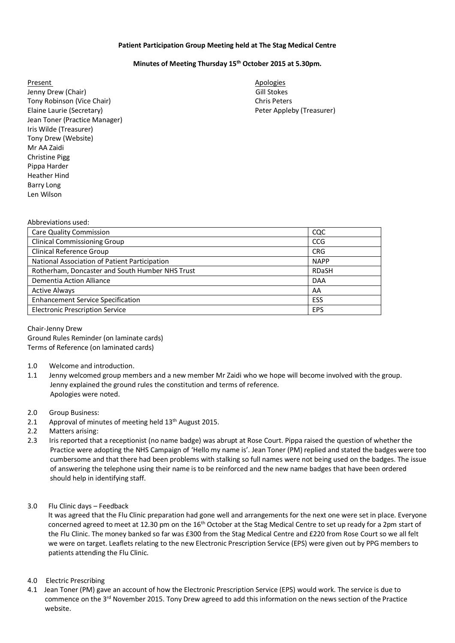## **Patient Participation Group Meeting held at The Stag Medical Centre**

## **Minutes of Meeting Thursday 15th October 2015 at 5.30pm.**

Present Apologies and Apologies and Apologies and Apologies and Apologies and Apologies and Apologies and Apologies Jenny Drew (Chair) **Gill Stockes** Controller Controller Controller Controller Controller Controller Controller Controller Controller Controller Controller Controller Controller Controller Controller Controller Controller C Tony Robinson (Vice Chair) Chris Peters Chris Peters Chris Peters Chris Peters Chris Peters Chris Peters Chris Peters Chris Peters Chris Peters Chris Peters Chris Peters Chris Peters Chris Peters Chris Peters Chris Peters Elaine Laurie (Secretary) The Contract of the Peter Appleby (Treasurer) Peter Appleby (Treasurer) Jean Toner (Practice Manager) Iris Wilde (Treasurer) Tony Drew (Website) Mr AA Zaidi Christine Pigg Pippa Harder Heather Hind Barry Long Len Wilson

Abbreviations used:

| , 1991 - 1991 - 1991 - 1992 - 19                |              |
|-------------------------------------------------|--------------|
| <b>Care Quality Commission</b>                  | CQC          |
| <b>Clinical Commissioning Group</b>             | <b>CCG</b>   |
| <b>Clinical Reference Group</b>                 | <b>CRG</b>   |
| National Association of Patient Participation   | <b>NAPP</b>  |
| Rotherham, Doncaster and South Humber NHS Trust | <b>RDaSH</b> |
| Dementia Action Alliance                        | <b>DAA</b>   |
| <b>Active Always</b>                            | AA           |
| <b>Enhancement Service Specification</b>        | <b>ESS</b>   |
| <b>Electronic Prescription Service</b>          | <b>EPS</b>   |
|                                                 |              |

Chair-Jenny Drew Ground Rules Reminder (on laminate cards) Terms of Reference (on laminated cards)

- 1.0 Welcome and introduction.
- 1.1 Jenny welcomed group members and a new member Mr Zaidi who we hope will become involved with the group. Jenny explained the ground rules the constitution and terms of reference. Apologies were noted.
- 2.0 Group Business:
- 2.1 Approval of minutes of meeting held  $13<sup>th</sup>$  August 2015.
- 2.2 Matters arising:
- 2.3 Iris reported that a receptionist (no name badge) was abrupt at Rose Court. Pippa raised the question of whether the Practice were adopting the NHS Campaign of 'Hello my name is'. Jean Toner (PM) replied and stated the badges were too cumbersome and that there had been problems with stalking so full names were not being used on the badges. The issue of answering the telephone using their name is to be reinforced and the new name badges that have been ordered should help in identifying staff.
- 3.0 Flu Clinic days Feedback

 It was agreed that the Flu Clinic preparation had gone well and arrangements for the next one were set in place. Everyone concerned agreed to meet at 12.30 pm on the 16<sup>th</sup> October at the Stag Medical Centre to set up ready for a 2pm start of the Flu Clinic. The money banked so far was £300 from the Stag Medical Centre and £220 from Rose Court so we all felt we were on target. Leaflets relating to the new Electronic Prescription Service (EPS) were given out by PPG members to patients attending the Flu Clinic.

- 4.0 Electric Prescribing
- 4.1 Jean Toner (PM) gave an account of how the Electronic Prescription Service (EPS) would work. The service is due to commence on the 3<sup>rd</sup> November 2015. Tony Drew agreed to add this information on the news section of the Practice website.